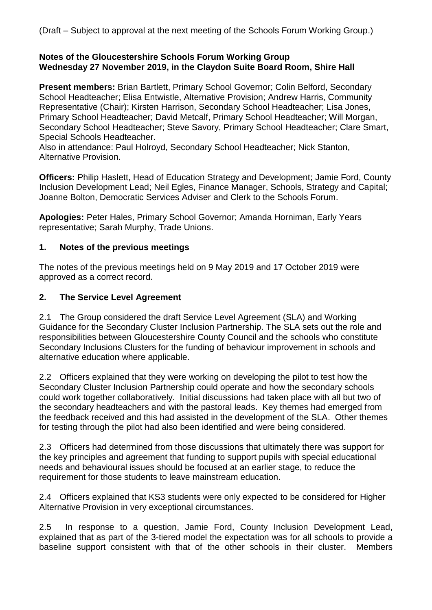#### **Notes of the Gloucestershire Schools Forum Working Group Wednesday 27 November 2019, in the Claydon Suite Board Room, Shire Hall**

**Present members:** Brian Bartlett, Primary School Governor; Colin Belford, Secondary School Headteacher; Elisa Entwistle, Alternative Provision; Andrew Harris, Community Representative (Chair); Kirsten Harrison, Secondary School Headteacher; Lisa Jones, Primary School Headteacher; David Metcalf, Primary School Headteacher; Will Morgan, Secondary School Headteacher; Steve Savory, Primary School Headteacher; Clare Smart, Special Schools Headteacher.

Also in attendance: Paul Holroyd, Secondary School Headteacher; Nick Stanton, Alternative Provision.

**Officers:** Philip Haslett, Head of Education Strategy and Development; Jamie Ford, County Inclusion Development Lead; Neil Egles, Finance Manager, Schools, Strategy and Capital; Joanne Bolton, Democratic Services Adviser and Clerk to the Schools Forum.

**Apologies:** Peter Hales, Primary School Governor; Amanda Horniman, Early Years representative; Sarah Murphy, Trade Unions.

### **1. Notes of the previous meetings**

The notes of the previous meetings held on 9 May 2019 and 17 October 2019 were approved as a correct record.

### **2. The Service Level Agreement**

2.1 The Group considered the draft Service Level Agreement (SLA) and Working Guidance for the Secondary Cluster Inclusion Partnership. The SLA sets out the role and responsibilities between Gloucestershire County Council and the schools who constitute Secondary Inclusions Clusters for the funding of behaviour improvement in schools and alternative education where applicable.

2.2 Officers explained that they were working on developing the pilot to test how the Secondary Cluster Inclusion Partnership could operate and how the secondary schools could work together collaboratively. Initial discussions had taken place with all but two of the secondary headteachers and with the pastoral leads. Key themes had emerged from the feedback received and this had assisted in the development of the SLA. Other themes for testing through the pilot had also been identified and were being considered.

2.3 Officers had determined from those discussions that ultimately there was support for the key principles and agreement that funding to support pupils with special educational needs and behavioural issues should be focused at an earlier stage, to reduce the requirement for those students to leave mainstream education.

2.4 Officers explained that KS3 students were only expected to be considered for Higher Alternative Provision in very exceptional circumstances.

2.5 In response to a question, Jamie Ford, County Inclusion Development Lead, explained that as part of the 3-tiered model the expectation was for all schools to provide a baseline support consistent with that of the other schools in their cluster. Members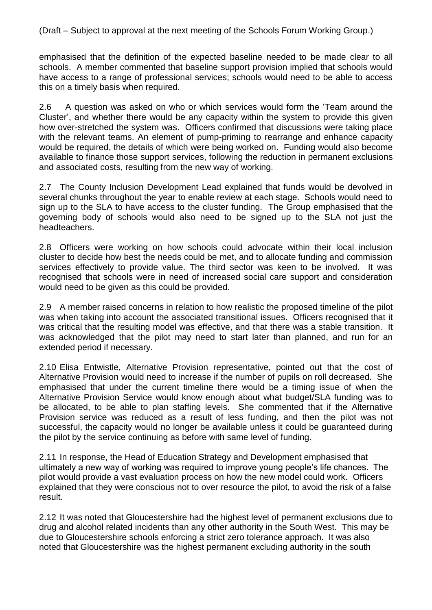emphasised that the definition of the expected baseline needed to be made clear to all schools. A member commented that baseline support provision implied that schools would have access to a range of professional services; schools would need to be able to access this on a timely basis when required.

2.6 A question was asked on who or which services would form the 'Team around the Cluster', and whether there would be any capacity within the system to provide this given how over-stretched the system was. Officers confirmed that discussions were taking place with the relevant teams. An element of pump-priming to rearrange and enhance capacity would be required, the details of which were being worked on. Funding would also become available to finance those support services, following the reduction in permanent exclusions and associated costs, resulting from the new way of working.

2.7 The County Inclusion Development Lead explained that funds would be devolved in several chunks throughout the year to enable review at each stage. Schools would need to sign up to the SLA to have access to the cluster funding. The Group emphasised that the governing body of schools would also need to be signed up to the SLA not just the headteachers.

2.8 Officers were working on how schools could advocate within their local inclusion cluster to decide how best the needs could be met, and to allocate funding and commission services effectively to provide value. The third sector was keen to be involved. It was recognised that schools were in need of increased social care support and consideration would need to be given as this could be provided.

2.9 A member raised concerns in relation to how realistic the proposed timeline of the pilot was when taking into account the associated transitional issues. Officers recognised that it was critical that the resulting model was effective, and that there was a stable transition. It was acknowledged that the pilot may need to start later than planned, and run for an extended period if necessary.

2.10 Elisa Entwistle, Alternative Provision representative, pointed out that the cost of Alternative Provision would need to increase if the number of pupils on roll decreased. She emphasised that under the current timeline there would be a timing issue of when the Alternative Provision Service would know enough about what budget/SLA funding was to be allocated, to be able to plan staffing levels. She commented that if the Alternative Provision service was reduced as a result of less funding, and then the pilot was not successful, the capacity would no longer be available unless it could be guaranteed during the pilot by the service continuing as before with same level of funding.

2.11 In response, the Head of Education Strategy and Development emphasised that ultimately a new way of working was required to improve young people's life chances. The pilot would provide a vast evaluation process on how the new model could work. Officers explained that they were conscious not to over resource the pilot, to avoid the risk of a false result.

2.12 It was noted that Gloucestershire had the highest level of permanent exclusions due to drug and alcohol related incidents than any other authority in the South West. This may be due to Gloucestershire schools enforcing a strict zero tolerance approach. It was also noted that Gloucestershire was the highest permanent excluding authority in the south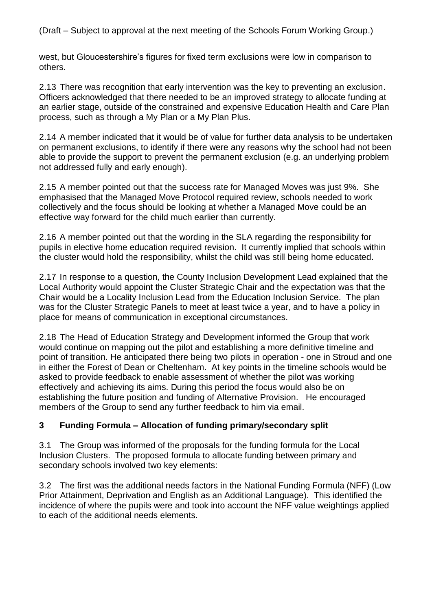west, but Gloucestershire's figures for fixed term exclusions were low in comparison to others.

2.13 There was recognition that early intervention was the key to preventing an exclusion. Officers acknowledged that there needed to be an improved strategy to allocate funding at an earlier stage, outside of the constrained and expensive Education Health and Care Plan process, such as through a My Plan or a My Plan Plus.

2.14 A member indicated that it would be of value for further data analysis to be undertaken on permanent exclusions, to identify if there were any reasons why the school had not been able to provide the support to prevent the permanent exclusion (e.g. an underlying problem not addressed fully and early enough).

2.15 A member pointed out that the success rate for Managed Moves was just 9%. She emphasised that the Managed Move Protocol required review, schools needed to work collectively and the focus should be looking at whether a Managed Move could be an effective way forward for the child much earlier than currently.

2.16 A member pointed out that the wording in the SLA regarding the responsibility for pupils in elective home education required revision. It currently implied that schools within the cluster would hold the responsibility, whilst the child was still being home educated.

2.17 In response to a question, the County Inclusion Development Lead explained that the Local Authority would appoint the Cluster Strategic Chair and the expectation was that the Chair would be a Locality Inclusion Lead from the Education Inclusion Service. The plan was for the Cluster Strategic Panels to meet at least twice a year, and to have a policy in place for means of communication in exceptional circumstances.

2.18 The Head of Education Strategy and Development informed the Group that work would continue on mapping out the pilot and establishing a more definitive timeline and point of transition. He anticipated there being two pilots in operation - one in Stroud and one in either the Forest of Dean or Cheltenham. At key points in the timeline schools would be asked to provide feedback to enable assessment of whether the pilot was working effectively and achieving its aims. During this period the focus would also be on establishing the future position and funding of Alternative Provision. He encouraged members of the Group to send any further feedback to him via email.

## **3 Funding Formula – Allocation of funding primary/secondary split**

3.1 The Group was informed of the proposals for the funding formula for the Local Inclusion Clusters. The proposed formula to allocate funding between primary and secondary schools involved two key elements:

3.2 The first was the additional needs factors in the National Funding Formula (NFF) (Low Prior Attainment, Deprivation and English as an Additional Language). This identified the incidence of where the pupils were and took into account the NFF value weightings applied to each of the additional needs elements.